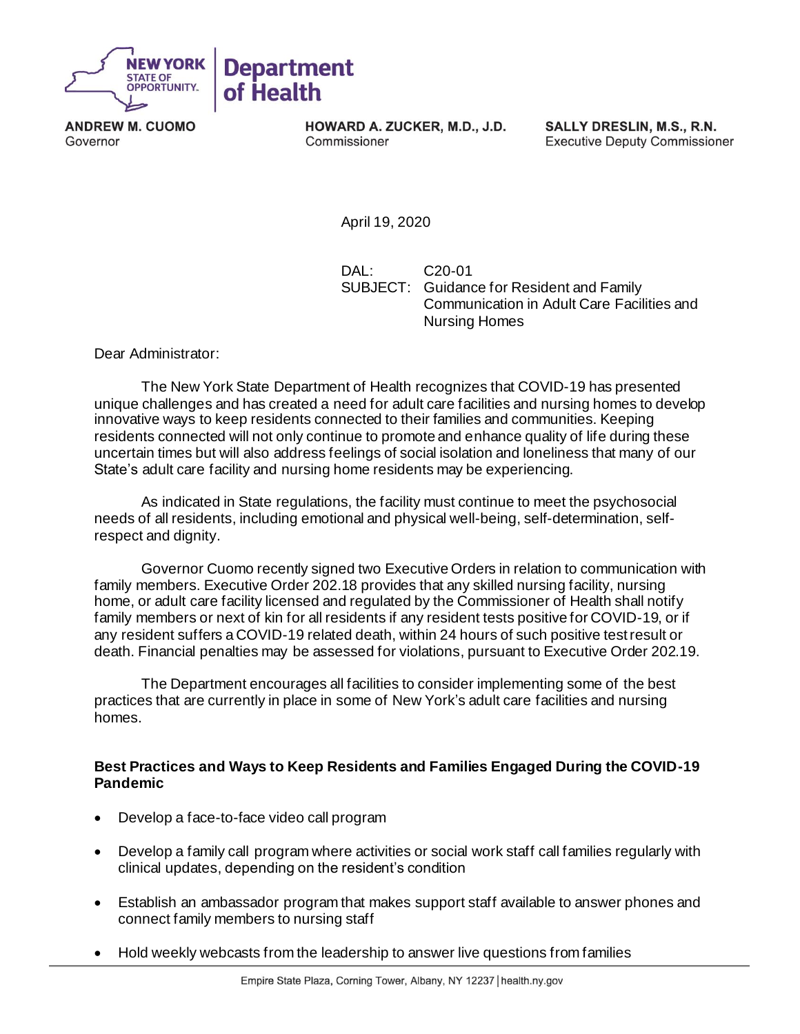

**ANDREW M. CUOMO** Governor

HOWARD A. ZUCKER, M.D., J.D. Commissioner

SALLY DRESLIN, M.S., R.N. **Executive Deputy Commissioner** 

April 19, 2020

DAL: C20-01 SUBJECT: Guidance for Resident and Family Communication in Adult Care Facilities and Nursing Homes

Dear Administrator:

The New York State Department of Health recognizes that COVID-19 has presented unique challenges and has created a need for adult care facilities and nursing homes to develop innovative ways to keep residents connected to their families and communities. Keeping residents connected will not only continue to promote and enhance quality of life during these uncertain times but will also address feelings of social isolation and loneliness that many of our State's adult care facility and nursing home residents may be experiencing.

As indicated in State regulations, the facility must continue to meet the psychosocial needs of all residents, including emotional and physical well-being, self-determination, selfrespect and dignity.

Governor Cuomo recently signed two Executive Orders in relation to communication with family members. Executive Order 202.18 provides that any skilled nursing facility, nursing home, or adult care facility licensed and regulated by the Commissioner of Health shall notify family members or next of kin for all residents if any resident tests positive for COVID-19, or if any resident suffers a COVID-19 related death, within 24 hours of such positive test result or death. Financial penalties may be assessed for violations, pursuant to Executive Order 202.19.

The Department encourages all facilities to consider implementing some of the best practices that are currently in place in some of New York's adult care facilities and nursing homes.

## **Best Practices and Ways to Keep Residents and Families Engaged During the COVID-19 Pandemic**

- Develop a face-to-face video call program
- Develop a family call program where activities or social work staff call families regularly with clinical updates, depending on the resident's condition
- Establish an ambassador program that makes support staff available to answer phones and connect family members to nursing staff
- Hold weekly webcasts from the leadership to answer live questions from families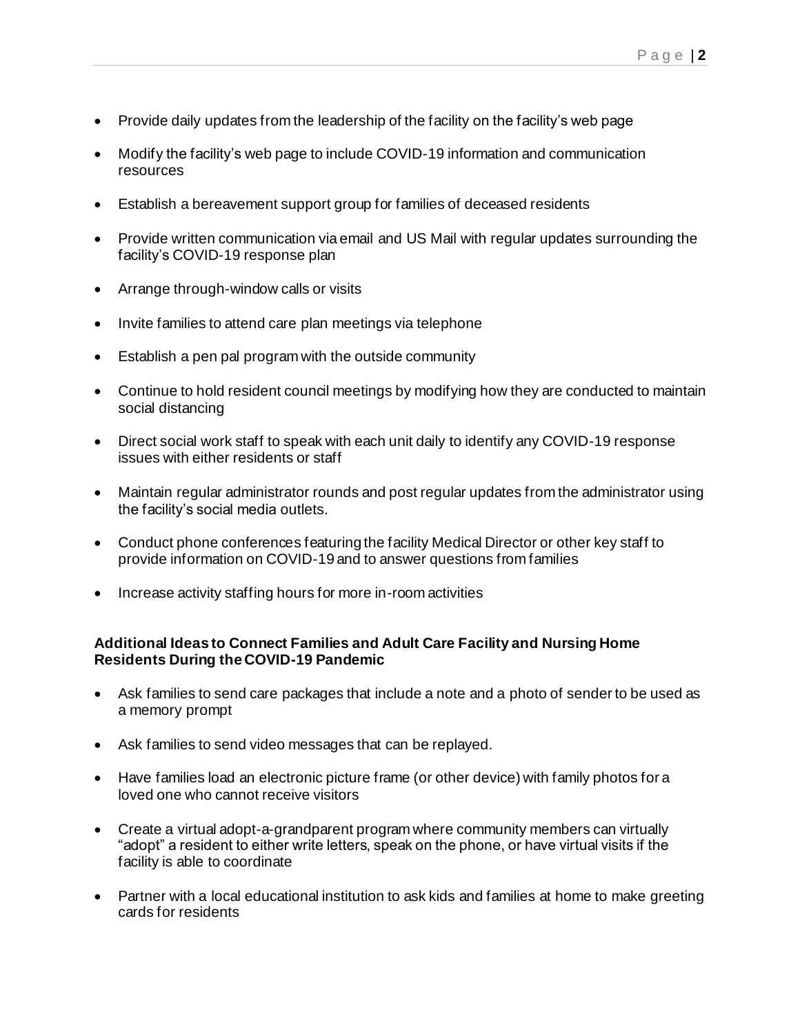- Provide daily updates from the leadership of the facility on the facility's web page
- Modify the facility's web page to include COVID-19 information and communication resources
- Establish a bereavement support group for families of deceased residents
- Provide written communication via email and US Mail with regular updates surrounding the facility's COVID-19 response plan
- Arrange through-window calls or visits
- Invite families to attend care plan meetings via telephone
- Establish a pen pal program with the outside community
- Continue to hold resident council meetings by modifying how they are conducted to maintain social distancing
- Direct social work staff to speak with each unit daily to identify any COVID-19 response issues with either residents or staff
- Maintain regular administrator rounds and post regular updates from the administrator using the facility's social media outlets.
- Conduct phone conferences featuring the facility Medical Director or other key staff to provide information on COVID-19 and to answer questions from families
- Increase activity staffing hours for more in-room activities

## **Additional Ideas to Connect Families and Adult Care Facility and Nursing Home Residents During the COVID-19 Pandemic**

- Ask families to send care packages that include a note and a photo of sender to be used as a memory prompt
- Ask families to send video messages that can be replayed.
- Have families load an electronic picture frame (or other device) with family photos for a loved one who cannot receive visitors
- Create a virtual adopt-a-grandparent program where community members can virtually "adopt" a resident to either write letters, speak on the phone, or have virtual visits if the facility is able to coordinate
- Partner with a local educational institution to ask kids and families at home to make greeting cards for residents